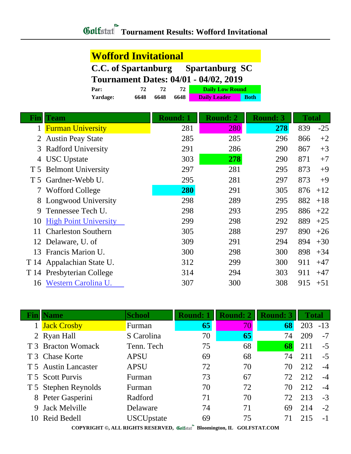## **Wofford Invitational**

**C.C. of Spartanburg Spartanburg SC**

**Tournament Dates: 04/01 - 04/02, 2019**

| Par:     |      |      |      | <b>Daily Low Round</b> |             |
|----------|------|------|------|------------------------|-------------|
| Yardage: | 6648 | 6648 | 6648 | <b>Daily Leader</b>    | <b>Both</b> |

| Finl           | <b>Team</b>                  | <b>Round: 1</b> | <b>Round: 2</b> | <b>Round: 3</b> | <b>Total</b> |       |
|----------------|------------------------------|-----------------|-----------------|-----------------|--------------|-------|
|                | <b>Furman University</b>     | 281             | 280             | 278             | 839          | $-25$ |
| 2              | <b>Austin Peay State</b>     | 285             | 285             | 296             | 866          | $+2$  |
| 3              | <b>Radford University</b>    | 291             | 286             | 290             | 867          | $+3$  |
| 4              | <b>USC</b> Upstate           | 303             | 278             | 290             | 871          | $+7$  |
| T <sub>5</sub> | <b>Belmont University</b>    | 297             | 281             | 295             | 873          | $+9$  |
| T 5            | Gardner-Webb U.              | 295             | 281             | 297             | 873          | $+9$  |
| 7              | <b>Wofford College</b>       | 280             | 291             | 305             | 876          | $+12$ |
| 8              | Longwood University          | 298             | 289             | 295             | 882          | $+18$ |
| 9              | Tennessee Tech U.            | 298             | 293             | 295             | 886          | $+22$ |
| 10             | <b>High Point University</b> | 299             | 298             | 292             | 889          | $+25$ |
| 11             | <b>Charleston Southern</b>   | 305             | 288             | 297             | 890          | $+26$ |
|                | 12 Delaware, U. of           | 309             | 291             | 294             | 894          | $+30$ |
| 13             | Francis Marion U.            | 300             | 298             | 300             | 898          | $+34$ |
| T 14           | Appalachian State U.         | 312             | 299             | 300             | 911          | $+47$ |
| T 14           | Presbyterian College         | 314             | 294             | 303             | 911          | $+47$ |
| 16             | Western Carolina U.          | 307             | 300             | 308             | 915          | $+51$ |

| Fin | <b>Name</b>          | <b>School</b>                                                       | <b>Round: 1</b> | <b>Round: 2</b> | <b>Round: 3</b>                                                                                                                                                                                                                                                                                                                                                              | <b>Total</b> |       |
|-----|----------------------|---------------------------------------------------------------------|-----------------|-----------------|------------------------------------------------------------------------------------------------------------------------------------------------------------------------------------------------------------------------------------------------------------------------------------------------------------------------------------------------------------------------------|--------------|-------|
|     | <b>Jack Crosby</b>   | Furman                                                              | 65              | 70              | 68                                                                                                                                                                                                                                                                                                                                                                           | 203          | $-13$ |
|     | 2 Ryan Hall          | S Carolina                                                          | 70              | 65              | 74                                                                                                                                                                                                                                                                                                                                                                           | 209          | $-7$  |
|     | T 3 Bracton Womack   | Tenn. Tech                                                          | 75              | 68              | 68                                                                                                                                                                                                                                                                                                                                                                           | 211          | $-5$  |
|     | T 3 Chase Korte      | <b>APSU</b>                                                         | 69              | 68              | 74                                                                                                                                                                                                                                                                                                                                                                           | 211          | $-5$  |
|     | T 5 Austin Lancaster | <b>APSU</b>                                                         | 72              | 70              | 70                                                                                                                                                                                                                                                                                                                                                                           | 212          | $-4$  |
|     | T 5 Scott Purvis     | Furman                                                              | 73              | 67              | 72                                                                                                                                                                                                                                                                                                                                                                           | 212          | $-4$  |
|     | T 5 Stephen Reynolds | Furman                                                              | 70              | 72              | 70                                                                                                                                                                                                                                                                                                                                                                           | 212          | $-4$  |
|     | 8 Peter Gasperini    | Radford                                                             | 71              | 70              | 72                                                                                                                                                                                                                                                                                                                                                                           | 213          | $-3$  |
| 9.  | <b>Jack Melville</b> | Delaware                                                            | 74              | 71              | 69                                                                                                                                                                                                                                                                                                                                                                           | 214          | $-2$  |
|     | 10 Reid Bedell       | <b>USCUpstate</b>                                                   | 69              | 75              | 71                                                                                                                                                                                                                                                                                                                                                                           | 215          | $-1$  |
|     |                      | $0.0$ print $0.1$ and $0.1$ for $0.0$ properties $\mathcal{U}(t)$ . | $\mathbf{r}$    |                 | $QQ$ $\overline{Q}$ $\overline{Q}$ $\overline{Q}$ $\overline{Q}$ $\overline{Q}$ $\overline{Q}$ $\overline{Q}$ $\overline{Q}$ $\overline{Q}$ $\overline{Q}$ $\overline{Q}$ $\overline{Q}$ $\overline{Q}$ $\overline{Q}$ $\overline{Q}$ $\overline{Q}$ $\overline{Q}$ $\overline{Q}$ $\overline{Q}$ $\overline{Q}$ $\overline{Q}$ $\overline{Q}$ $\overline{Q}$ $\overline{Q}$ |              |       |

Г

**COPYRIGHT ©, ALL RIGHTS RESERVED, Bloomington, IL GOLFSTAT.COM**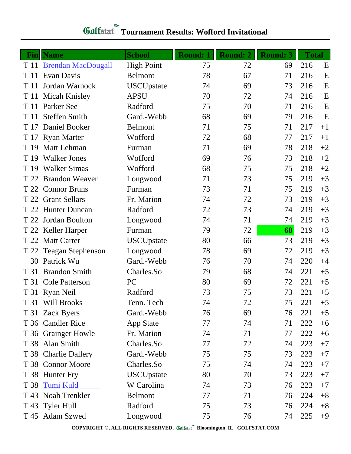| <b>Gulfstat</b> Tournament Results: Wofford Invitational |  |
|----------------------------------------------------------|--|
|                                                          |  |

| Fin  | <b>Name</b>               | <b>School</b>     | <b>Round: 1</b> | <b>Round: 2</b> | <b>Round: 3</b> | <b>Total</b> |      |
|------|---------------------------|-------------------|-----------------|-----------------|-----------------|--------------|------|
| T 11 | <b>Brendan MacDougall</b> | <b>High Point</b> | 75              | 72              | 69              | 216          | E    |
| T 11 | Evan Davis                | Belmont           | 78              | 67              | 71              | 216          | E    |
| T 11 | Jordan Warnock            | <b>USCUpstate</b> | 74              | 69              | 73              | 216          | E    |
|      | T 11 Micah Knisley        | <b>APSU</b>       | 70              | 72              | 74              | 216          | E    |
|      | T 11 Parker See           | Radford           | 75              | 70              | 71              | 216          | E    |
| T 11 | <b>Steffen Smith</b>      | Gard.-Webb        | 68              | 69              | 79              | 216          | E    |
|      | T 17 Daniel Booker        | <b>Belmont</b>    | 71              | 75              | 71              | 217          | $+1$ |
|      | T 17 Ryan Marter          | Wofford           | 72              | 68              | 77              | 217          | $+1$ |
| T 19 | Matt Lehman               | Furman            | 71              | 69              | 78              | 218          | $+2$ |
| T 19 | <b>Walker Jones</b>       | Wofford           | 69              | 76              | 73              | 218          | $+2$ |
| T 19 | <b>Walker Simas</b>       | Wofford           | 68              | 75              | 75              | 218          | $+2$ |
| T 22 | <b>Brandon Weaver</b>     | Longwood          | 71              | 73              | 75              | 219          | $+3$ |
|      | T 22 Connor Bruns         | Furman            | 73              | 71              | 75              | 219          | $+3$ |
| T 22 | <b>Grant Sellars</b>      | Fr. Marion        | 74              | 72              | 73              | 219          | $+3$ |
|      | T 22 Hunter Duncan        | Radford           | 72              | 73              | 74              | 219          | $+3$ |
| T 22 | Jordan Boulton            | Longwood          | 74              | 71              | 74              | 219          | $+3$ |
|      | T 22 Keller Harper        | Furman            | 79              | 72              | 68              | 219          | $+3$ |
| T 22 | <b>Matt Carter</b>        | <b>USCUpstate</b> | 80              | 66              | 73              | 219          | $+3$ |
|      | T 22 Teagan Stephenson    | Longwood          | 78              | 69              | 72              | 219          | $+3$ |
| 30   | Patrick Wu                | Gard.-Webb        | 76              | 70              | 74              | 220          | $+4$ |
| T 31 | <b>Brandon Smith</b>      | Charles.So        | 79              | 68              | 74              | 221          | $+5$ |
|      | T 31 Cole Patterson       | PC                | 80              | 69              | 72              | 221          | $+5$ |
|      | T 31 Ryan Neil            | Radford           | 73              | 75              | 73              | 221          | $+5$ |
|      | T 31 Will Brooks          | Tenn. Tech        | 74              | 72              | 75              | 221          | $+5$ |
|      | T 31 Zack Byers           | Gard.-Webb        | 76              | 69              | 76              | 221          | $+5$ |
|      | T 36 Candler Rice         | <b>App State</b>  | 77              | 74              | 71              | 222          | $+6$ |
|      | T 36 Grainger Howle       | Fr. Marion        | 74              | 71              | 77              | 222          | $+6$ |
|      | T 38 Alan Smith           | Charles.So        | 77              | 72              | 74              | 223          | $+7$ |
|      | T 38 Charlie Dallery      | Gard.-Webb        | 75              | 75              | 73              | 223          | $+7$ |
|      | T 38 Connor Moore         | Charles.So        | 75              | 74              | 74              | 223          | $+7$ |
|      | T 38 Hunter Fry           | <b>USCUpstate</b> | 80              | 70              | 73              | 223          | $+7$ |
|      | T 38 Tumi Kuld            | W Carolina        | 74              | 73              | 76              | 223          | $+7$ |
|      | T 43 Noah Trenkler        | Belmont           | 77              | 71              | 76              | 224          | $+8$ |
|      | T 43 Tyler Hull           | Radford           | 75              | 73              | 76              | 224          | $+8$ |
|      | T 45 Adam Szwed           | Longwood          | 75              | 76              | 74              | 225          | $+9$ |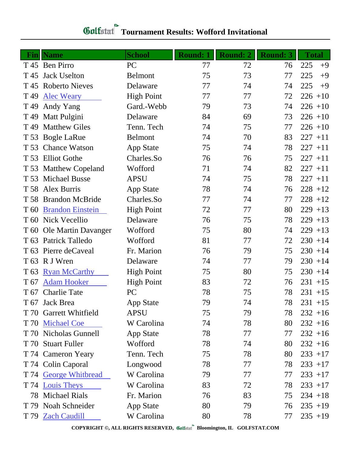| <b>Gulfatat</b> Tournament Results: Wofford Invitational |  |
|----------------------------------------------------------|--|
|                                                          |  |

| Fin             | <b>Name</b>              | <b>School</b>     | <b>Round: 1</b> | <b>Round: 2</b> | <b>Round: 3</b> | <b>Total</b> |
|-----------------|--------------------------|-------------------|-----------------|-----------------|-----------------|--------------|
|                 | T 45 Ben Pirro           | PC                | 77              | 72              | 76              | 225<br>$+9$  |
| T 45            | <b>Jack Uselton</b>      | <b>Belmont</b>    | 75              | 73              | 77              | 225<br>$+9$  |
|                 | T 45 Roberto Nieves      | Delaware          | 77              | 74              | 74              | 225<br>$+9$  |
| T 49            | <b>Alec Weary</b>        | <b>High Point</b> | 77              | 77              | 72              | $226 + 10$   |
|                 | T 49 Andy Yang           | Gard.-Webb        | 79              | 73              | 74              | $226 + 10$   |
|                 | T 49 Matt Pulgini        | Delaware          | 84              | 69              | 73              | $226 + 10$   |
|                 | T 49 Matthew Giles       | Tenn. Tech        | 74              | 75              | 77              | $226 + 10$   |
|                 | T 53 Bogle LaRue         | <b>Belmont</b>    | 74              | 70              | 83              | $227 + 11$   |
|                 | T 53 Chance Watson       | <b>App State</b>  | 75              | 74              | 78              | $227 + 11$   |
|                 | T 53 Elliot Gothe        | Charles.So        | 76              | 76              | 75              | $227 + 11$   |
|                 | T 53 Matthew Copeland    | Wofford           | 71              | 74              | 82              | $227 + 11$   |
|                 | T 53 Michael Busse       | <b>APSU</b>       | 74              | 75              | 78              | $227 + 11$   |
|                 | T 58 Alex Burris         | App State         | 78              | 74              | 76              | $228 + 12$   |
|                 | T 58 Brandon McBride     | Charles.So        | 77              | 74              | 77              | $228 + 12$   |
| T 60            | <b>Brandon Einstein</b>  | <b>High Point</b> | 72              | 77              | 80              | $229 + 13$   |
|                 | T 60 Nick Vecellio       | Delaware          | 76              | 75              | 78              | $229 + 13$   |
|                 | T 60 Ole Martin Davanger | Wofford           | 75              | 80              | 74              | $229 + 13$   |
|                 | T 63 Patrick Talledo     | Wofford           | 81              | 77              | 72              | $230 + 14$   |
|                 | T 63 Pierre deCaveal     | Fr. Marion        | 76              | 79              | 75              | $230 + 14$   |
|                 | T 63 R J Wren            | Delaware          | 74              | 77              | 79              | $230 + 14$   |
| T <sub>63</sub> | <b>Ryan McCarthy</b>     | <b>High Point</b> | 75              | 80              | 75              | $230 + 14$   |
| T 67            | <b>Adam Hooker</b>       | <b>High Point</b> | 83              | 72              | 76              | $231 + 15$   |
|                 | T 67 Charlie Tate        | PC                | 78              | 75              | 78              | $231 + 15$   |
|                 | T 67 Jack Brea           | App State         | 79              | 74              | 78              | $231 + 15$   |
|                 | T 70 Garrett Whitfield   | <b>APSU</b>       | 75              | 79              | 78              | $232 + 16$   |
|                 | T 70 Michael Coe         | W Carolina        | 74              | 78              | 80              | $232 + 16$   |
|                 | T 70 Nicholas Gunnell    | App State         | 78              | 77              | 77              | $232 + 16$   |
|                 | T 70 Stuart Fuller       | Wofford           | 78              | 74              | 80              | $232 + 16$   |
|                 | T 74 Cameron Yeary       | Tenn. Tech        | 75              | 78              | 80              | $233 + 17$   |
|                 | T 74 Colin Caporal       | Longwood          | 78              | 77              | 78              | $233 + 17$   |
|                 | T 74 George Whitbread    | W Carolina        | 79              | 77              | 77              | $233 + 17$   |
|                 | T 74 Louis Theys         | W Carolina        | 83              | 72              | 78              | $233 + 17$   |
|                 | 78 Michael Rials         | Fr. Marion        | 76              | 83              | 75              | $234 + 18$   |
|                 | T 79 Noah Schneider      | <b>App State</b>  | 80              | 79              | 76              | $235 + 19$   |
|                 | T 79 Zach Caudill        | W Carolina        | 80              | 78              | 77              | $235 + 19$   |